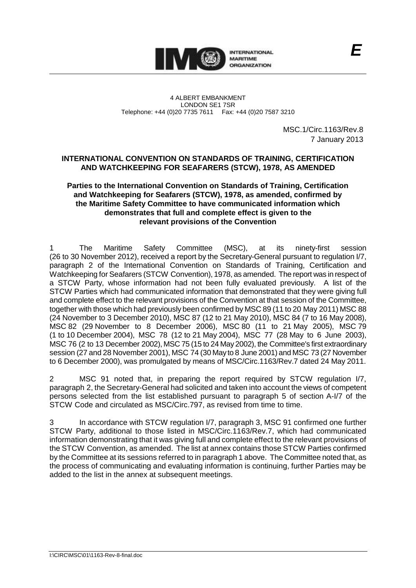

4 ALBERT EMBANKMENT LONDON SE1 7SR Telephone: +44 (0)20 7735 7611 Fax: +44 (0)20 7587 3210

> MSC.1/Circ.1163/Rev.8 7 January 2013

## **INTERNATIONAL CONVENTION ON STANDARDS OF TRAINING, CERTIFICATION AND WATCHKEEPING FOR SEAFARERS (STCW), 1978, AS AMENDED**

## **Parties to the International Convention on Standards of Training, Certification and Watchkeeping for Seafarers (STCW), 1978, as amended, confirmed by the Maritime Safety Committee to have communicated information which demonstrates that full and complete effect is given to the relevant provisions of the Convention**

1 The Maritime Safety Committee (MSC), at its ninety-first session (26 to 30 November 2012), received a report by the Secretary-General pursuant to regulation I/7, paragraph 2 of the International Convention on Standards of Training, Certification and Watchkeeping for Seafarers (STCW Convention), 1978, as amended. The report was in respect of a STCW Party, whose information had not been fully evaluated previously. A list of the STCW Parties which had communicated information that demonstrated that they were giving full and complete effect to the relevant provisions of the Convention at that session of the Committee, together with those which had previously been confirmed by MSC 89 (11 to 20 May 2011) MSC 88 (24 November to 3 December 2010), MSC 87 (12 to 21 May 2010), MSC 84 (7 to 16 May 2008), MSC 82 (29 November to 8 December 2006), MSC 80 (11 to 21 May 2005), MSC 79 (1 to 10 December 2004), MSC 78 (12 to 21 May 2004), MSC 77 (28 May to 6 June 2003), MSC 76 (2 to 13 December 2002), MSC 75 (15 to 24 May 2002), the Committee's first extraordinary session (27 and 28 November 2001), MSC 74 (30 May to 8 June 2001) and MSC 73 (27 November to 6 December 2000), was promulgated by means of MSC/Circ.1163/Rev.7 dated 24 May 2011.

2 MSC 91 noted that, in preparing the report required by STCW regulation I/7, paragraph 2, the Secretary-General had solicited and taken into account the views of competent persons selected from the list established pursuant to paragraph 5 of section A-I/7 of the STCW Code and circulated as MSC/Circ.797, as revised from time to time.

In accordance with STCW regulation I/7, paragraph 3, MSC 91 confirmed one further STCW Party, additional to those listed in MSC/Circ.1163/Rev.7, which had communicated information demonstrating that it was giving full and complete effect to the relevant provisions of the STCW Convention, as amended. The list at annex contains those STCW Parties confirmed by the Committee at its sessions referred to in paragraph 1 above. The Committee noted that, as the process of communicating and evaluating information is continuing, further Parties may be added to the list in the annex at subsequent meetings.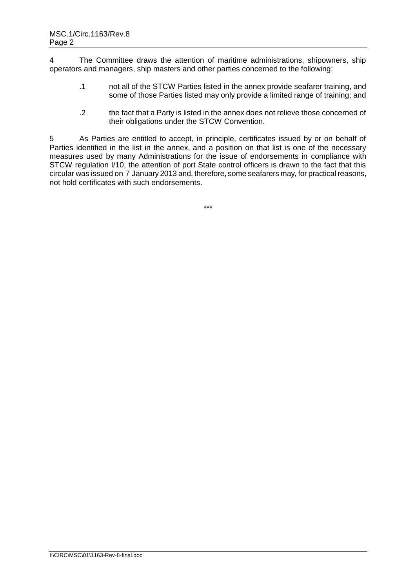4 The Committee draws the attention of maritime administrations, shipowners, ship operators and managers, ship masters and other parties concerned to the following:

- .1 not all of the STCW Parties listed in the annex provide seafarer training, and some of those Parties listed may only provide a limited range of training; and
- .2 the fact that a Party is listed in the annex does not relieve those concerned of their obligations under the STCW Convention.

5 As Parties are entitled to accept, in principle, certificates issued by or on behalf of Parties identified in the list in the annex, and a position on that list is one of the necessary measures used by many Administrations for the issue of endorsements in compliance with STCW regulation I/10, the attention of port State control officers is drawn to the fact that this circular was issued on 7 January 2013 and, therefore, some seafarers may, for practical reasons, not hold certificates with such endorsements.

\*\*\*